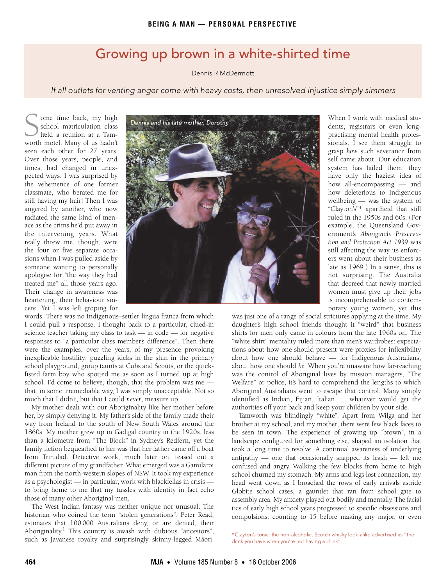## Growing up brown in a white-shirted time

Dennis R McDermott

<span id="page-0-0"></span>If all outlets for venting anger come with heavy costs, then unresolved injustice simply simmers

ome time back, my high school matriculation class held a reunion at a Tam-Some time back, my high<br>school matriculation class<br>held a reunion at a Tam-<br>worth motel. Many of us hadn't seen each other for 27 years. Over those years, people, and times, had changed in unexpected ways. I was surprised by the vehemence of one former classmate, who berated me for still having my hair! Then I was angered by another, who now radiated the same kind of menace as the crims he'd put away in the intervening years. What really threw me, though, were the four or five separate occasions when I was pulled aside by someone wanting to personally apologise for "the way they had treated me" all those years ago. Their change in awareness was heartening, their behaviour sincere. Yet I was left groping for

words. There was no Indigenous–settler lingua franca from which I could pull a response. I thought back to a particular, clued-in science teacher taking my class to task — in code — for negative responses to "a particular class member's difference". Then there were the examples, over the years, of my presence provoking inexplicable hostility: puzzling kicks in the shin in the primary school playground, group taunts at Cubs and Scouts, or the quickfisted farm boy who spotted me as soon as I turned up at high school. I'd come to believe, though, that the problem was me that, in some irremediable way, I was simply unacceptable. Not so much that I didn't, but that I could *never*, measure up.

The Medical Journal of Australia ISSN: 0025- than a kilometre from "The Block" in Sydney's Redfern, yet the Family fiction bequeathed to her was that her father came off a boat of the Medical Cornel of Medical Terms and The Medical Detection 2006 from Trinidad. Detective work, much later on, teased out a different picture of my grandfather. What emerged was a Gamilaroi My mother dealt with our Aboriginality like her mother before her, by simply denying it. My father's side of the family made their way from Ireland to the south of New South Wales around the 1860s. My mother grew up in Gadigal country in the 1920s, less man from the north-western slopes of NSW. It took my experience as a psychologist — in particular, work with blackfellas in crisis to bring home to me that my tussles with identity in fact echo those of many other Aboriginal men.

The West Indian fantasy was neither unique nor unusual. The historian who coined the term "stolen generations", Peter Read, estimates that 100 000 Australians deny, or are denied, their Aboriginality.<sup>1</sup> This country is awash with dubious "ancestors", such as Javanese royalty and surprisingly skinny-legged Māori.



When I work with medical students, registrars or even longpractising mental health professionals, I see them struggle to grasp *how* such severance from self came about. Our education system has failed them: they have only the haziest idea of how all-encompassing — and how deleterious to Indigenous wellbeing — was the system of "Clayton's"\* apartheid that still ruled in the 1950s and 60s. (For example, the Queensland Government's *Aboriginals Preservation and Protection Act 1939* was still affecting the way its enforcers went about their business as late as 1969.) In a sense, this is not surprising. The Australia that decreed that newly married women must give up their jobs is incomprehensible to contemporary young women, yet this

was just one of a range of social strictures applying at the time. My daughter's high school friends thought it "weird" that business shirts for men only came in colours from the late 1960s on. The "white shirt" mentality ruled more than men's wardrobes: expectations about how one should present were proxies for inflexibility about how one should behave — for Indigenous Australians, about how one should *be*. When you're unaware how far-reaching was the control of Aboriginal lives by mission managers, "The Welfare" or police, it's hard to comprehend the lengths to which Aboriginal Australians went to escape that control. Many simply identified as Indian, Fijian, Italian ... whatever would get the authorities off your back and keep your children by your side.

Tamworth was blindingly "white". Apart from Wilga and her brother at my school, and my mother, there were few black faces to be seen in town. The experience of growing up "brown", in a landscape configured for something else, shaped an isolation that took a long time to resolve. A continual awareness of underlying antipathy — one that occasionally snapped its leash — left me confused and angry. Walking the few blocks from home to high school churned my stomach. My arms and legs lost connection, my head went down as I broached the rows of early arrivals astride Globite school cases, a gauntlet that ran from school gate to assembly area. My anxiety played out bodily and mentally. The facial tics of early high school years progressed to specific obsessions and compulsions: counting to 15 before making any major, or even

\* Clayton's tonic: the non-alcoholic, Scotch whisky look-alike advertised as "the drink you have when you're not having a drink".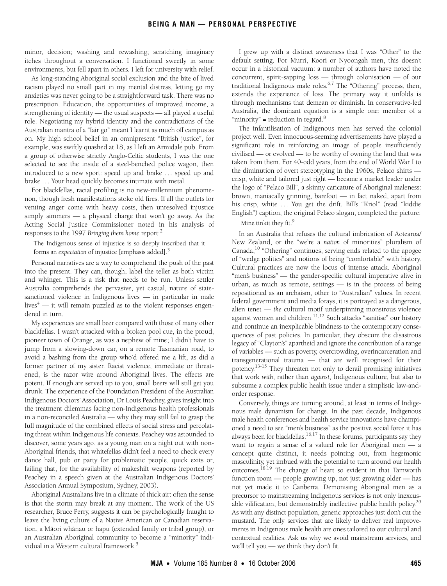minor, decision; washing and rewashing; scratching imaginary itches throughout a conversation. I functioned sweetly in some environments, but fell apart in others. I left for university with relief.

As long-standing Aboriginal social exclusion and the bite of lived racism played no small part in my mental distress, letting go my anxieties was never going to be a straightforward task. There was no prescription. Education, the opportunities of improved income, a strengthening of identity — the usual suspects — all played a useful role. Negotiating my hybrid identity and the contradictions of the Australian mantra of a "fair go" meant I learnt as much off campus as on. My high school belief in an omnipresent "British justice", for example, was swiftly quashed at 18, as I left an Armidale pub. From a group of otherwise strictly Anglo-Celtic students, I was the one selected to see the inside of a steel-benched police wagon, then introduced to a new sport: speed up and brake . .. speed up and brake .. . Your head quickly becomes intimate with metal.

For blackfellas, racial profiling is no new-millennium phenomenon, though fresh manifestations stoke old fires. If all the outlets for venting anger come with heavy costs, then unresolved injustice simply simmers — a physical charge that won't go away. As the Acting Social Justice Commissioner noted in his analysis of responses to the 1997 *Bringing them home* report[:2](#page-2-2)

The Indigenous sense of injustice is so deeply inscribed that it forms an *expectation* of injustice [emphasis added].[3](#page-2-3)

Personal narratives are a way to comprehend the push of the past into the present. They can, though, label the teller as both victim and whinger. This is a risk that needs to be run. Unless settler Australia comprehends the pervasive, yet casual, nature of statesanctioned violence in Indigenous lives — in particular in male lives $4$  — it will remain puzzled as to the violent responses engendered in turn.

My experiences are small beer compared with those of many other blackfellas. I wasn't attacked with a broken pool cue, in the proud, pioneer town of Orange, as was a nephew of mine; I didn't have to jump from a slowing-down car, on a remote Tasmanian road, to avoid a bashing from the group who'd offered me a lift, as did a former partner of my sister. Racist violence, immediate or threatened, is the razor wire around Aboriginal lives. The effects are potent. If enough are served up to you, small beers will still get you drunk. The experience of the Foundation President of the Australian Indigenous Doctors' Association, Dr Louis Peachey, gives insight into the treatment dilemmas facing non-Indigenous health professionals in a non-reconciled Australia — why they may still fail to grasp the full magnitude of the combined effects of social stress and percolating threat within Indigenous life contexts. Peachey was astounded to discover, some years ago, as a young man on a night out with non-Aboriginal friends, that whitefellas didn't feel a need to check every dance hall, pub or party for problematic people, quick exits or, failing that, for the availability of makeshift weapons (reported by Peachey in a speech given at the Australian Indigenous Doctors' Association Annual Symposium, Sydney, 2003).

Aboriginal Australians live in a climate of thick air: often the sense is that the storm may break at any moment. The work of the US researcher, Bruce Perry, suggests it can be psychologically fraught to leave the living culture of a Native American or Canadian reservation, a Māori whānau or hapu (extended family or tribal group), or an Australian Aboriginal community to become a "minority" individual in a Western cultural framework.[5](#page-2-5)

I grew up with a distinct awareness that I was "Other" to the default setting. For Murri, Koori or Nyoongah men, this doesn't occur in a historical vacuum: a number of authors have noted the concurrent, spirit-sapping loss — through colonisation — of our traditional Indigenous male roles. $6,7$  The "Othering" process, then, extends the experience of loss. The primary way it unfolds is through mechanisms that demean or diminish. In conservative-led Australia, the dominant equation is a simple one: member of a "minority" **=** reduction in regard.[8](#page-2-8)

The infantilisation of Indigenous men has served the colonial project well. Even innocuous-seeming advertisements have played a significant role in reinforcing an image of people insufficiently civilised — or evolved — to be worthy of owning the land that was taken from them. For 40-odd years, from the end of World War I to the diminution of overt stereotyping in the 1960s, Pelaco shirts crisp, white and tailored just right — became a market leader under the logo of "Pelaco Bill", a skinny caricature of Aboriginal maleness: brown, maniacally grinning, barefoot — in fact naked, apart from his crisp, white ... You get the drift. Bill's "Kriol" (read "kiddie English") caption, the original Pelaco slogan, completed the picture:

Mine tinkit they fit.<sup>9</sup>

In an Australia that refuses the cultural imbrication of Aotearoa/ New Zealand, or the "we're a *nation* of minorities" pluralism of Canada,<sup>10</sup> "Othering" continues, serving ends related to the apogee of "wedge politics" and notions of being "comfortable" with history. Cultural practices are now the locus of intense attack. Aboriginal "men's business" — the gender-specific cultural imperative alive in urban, as much as remote, settings — is in the process of being repositioned as an archaism, other to "Australian" values. In recent federal government and media forays, it is portrayed as a dangerous, alien tenet — *the* cultural motif underpinning monstrous violence against women and children.<sup>[11,](#page-2-11)[12](#page-2-12)</sup> Such attacks "sanitise" our history and continue an inexplicable blindness to the contemporary consequences of past policies. In particular, they obscure the disastrous legacy of "Clayton's" apartheid and ignore the contribution of a range of variables — such as poverty, overcrowding, overincarceration and transgenerational trauma — that are well recognised for their potency.[13-](#page-2-13)[15](#page-2-14) They threaten not only to derail promising initiatives that work *with*, rather than *against*, Indigenous culture, but also to subsume a complex public health issue under a simplistic law-andorder response.

Conversely, things are turning around, at least in terms of Indigenous male dynamism for change. In the past decade, Indigenous male health conferences and health service innovations have championed a need to see "men's business" as the positive social force it has always been for blackfellas. $16,17$  $16,17$  In these forums, participants say they want to regain a sense of a valued role for Aboriginal men — a concept quite distinct, it needs pointing out, from hegemonic masculinity, yet imbued with the potential to turn around our health outcomes.<sup>[18,](#page-2-17)[19](#page-2-18)</sup> The change of heart so evident in that Tamworth function room — people growing up, not just growing older — has not yet made it to Canberra. Demonising Aboriginal men as a precursor to mainstreaming Indigenous services is not only inexcusable vilification, but demonstrably ineffective public health policy.<sup>20</sup> As with any distinct population, generic approaches just don't cut the mustard. The only services that are likely to deliver real improvements in Indigenous male health are ones tailored to our cultural and contextual realities. Ask us why we avoid mainstream services, and we'll tell you — we think they don't fit.